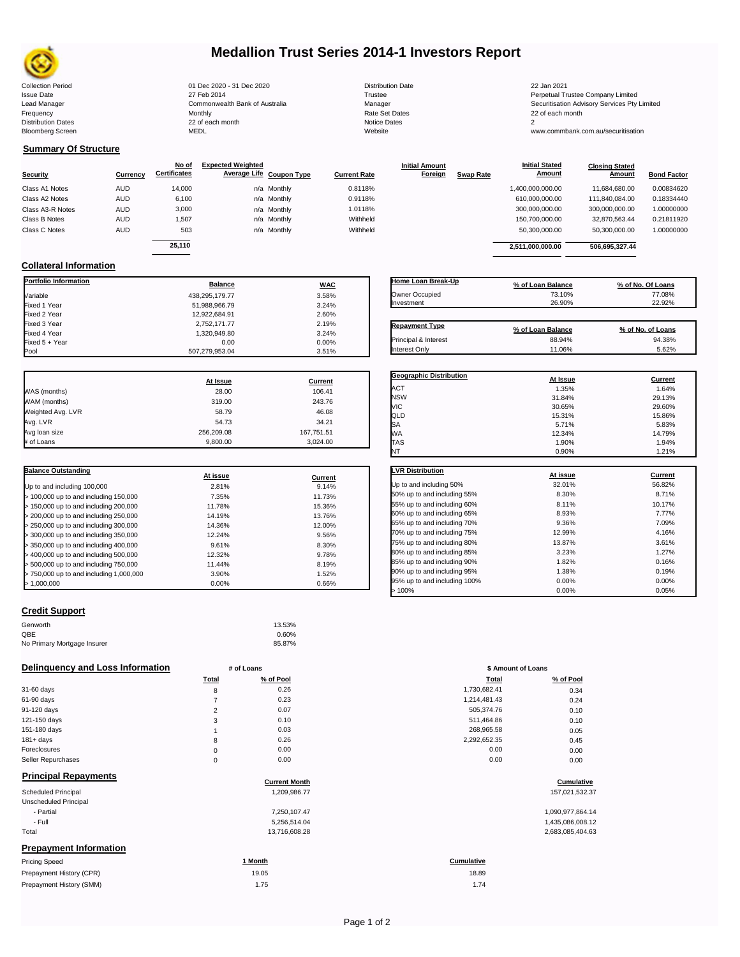

## **Medallion Trust Series 2014-1 Investors Report**

Collection Period 01 Dec 2020 - 31 Dec 2020 Distribution Date 22 Jan 2021 Issue Date 27 Feb 2014 27 Feb 2014<br>Lead Manager Commonwealth Bank of Australia Manager Manager Securitisation Advisory Services Pty Limited Frequency Monthly Rate Set Dates 22 of each month Distribution Dates 22 of each month Notice Dates 2 Bloomberg Screen MEDL Website www.commbank.com.au/securitisation

| <b>Distribution Date</b> |
|--------------------------|
| Trustee                  |
| Manager                  |
| Rate Set Dates           |
| Notice Dates             |
| Website                  |

**Initial Amount** 

**Closing Stated Amount**

### **Summary Of Structure**

**Collateral Information**

|                  |            | No of               | <b>Expected Weighted</b> |                          |                     | <b>Initial Amount</b> |                  | <b>Initial Stated</b> | <b>Closing Stated</b> |                    |
|------------------|------------|---------------------|--------------------------|--------------------------|---------------------|-----------------------|------------------|-----------------------|-----------------------|--------------------|
| <b>Security</b>  | Currency   | <b>Certificates</b> |                          | Average Life Coupon Type | <b>Current Rate</b> | Foreign               | <b>Swap Rate</b> | <b>Amount</b>         | Amount                | <b>Bond Factor</b> |
| Class A1 Notes   | <b>AUD</b> | 14,000              |                          | n/a Monthly              | 0.8118%             |                       |                  | 1,400,000,000.00      | 11.684.680.00         | 0.00834620         |
| Class A2 Notes   | <b>AUD</b> | 6,100               |                          | n/a Monthly              | 0.9118%             |                       |                  | 610.000.000.00        | 111.840.084.00        | 0.18334440         |
| Class A3-R Notes | <b>AUD</b> | 3,000               |                          | n/a Monthly              | 1.0118%             |                       |                  | 300,000,000.00        | 300,000,000.00        | 1.00000000         |
| Class B Notes    | <b>AUD</b> | 1.507               |                          | n/a Monthly              | Withheld            |                       |                  | 150.700.000.00        | 32.870.563.44         | 0.21811920         |
| Class C Notes    | <b>AUD</b> | 503                 |                          | n/a Monthly              | Withheld            |                       |                  | 50,300,000.00         | 50,300,000.00         | 1.00000000         |
|                  |            | 25.110              |                          |                          |                     |                       |                  |                       |                       |                    |
|                  |            |                     |                          |                          |                     |                       |                  | 2.511.000.000.00      | 506.695.327.44        |                    |

**Portfolio Information Balance WAC** Variable 3.58% Fixed 1 Year 3.24% Fixed 2 Year 12,922,684.91 2.60% Fixed 3 Year 2.19% 2.752,171.77 2.19% 2.752,171.77 2.19% 2.19% 2.19% 2.19% 2.19% 2.19% 2.19% 2.19% 2.19% 2.19<br>- Fixed 4 Year 2008 2.132,000 2.132,000 2.132,000 2.132,1949,80

Fixed 5 + Year 0.00% 0.00% 0.000% 0.000% 0.000% 0.000% 0.000% 0.000% 0.00% 0.00% 0.00% 0.00% 0.00% 0.00% 0.00%<br>Pool 0.00% 0.00% 0.00% 0.00% 0.00% 0.00% 0.00% 0.00% 0.00% 0.00% 0.00% 0.00% 0.00% 0.00% 0.00% 0.00% 0.00% 0.0

507,279,953.04

| Home Loan Break-Up    | % of Loan Balance | % of No. Of Loans |
|-----------------------|-------------------|-------------------|
| Owner Occupied        | 73.10%            | 77.08%            |
| Investment            | 26.90%            | 22.92%            |
|                       |                   |                   |
| <b>Repayment Type</b> | % of Loan Balance | % of No. of Loans |
| Principal & Interest  | 88.94%            | 94.38%            |
| <b>Interest Only</b>  | 11.06%            | 5.62%             |

**Initial Stated** 

|                   | At Issue   | <b>Current</b> |
|-------------------|------------|----------------|
| WAS (months)      | 28.00      | 106.41         |
| WAM (months)      | 319.00     | 243.76         |
| Weighted Avg. LVR | 58.79      | 46.08          |
| Avg. LVR          | 54.73      | 34.21          |
| Avg loan size     | 256.209.08 | 167,751.51     |
| # of Loans        | 9.800.00   | 3.024.00       |

1,320,949.80 3.24%<br>0.00 0.00 0.00%

| <b>Balance Outstanding</b>              | At issue | Current |
|-----------------------------------------|----------|---------|
| Up to and including 100,000             | 2.81%    | 9.14%   |
| $>$ 100,000 up to and including 150,000 | 7.35%    | 11.73%  |
| $>$ 150,000 up to and including 200,000 | 11.78%   | 15.36%  |
| > 200,000 up to and including 250,000   | 14.19%   | 13.76%  |
| > 250,000 up to and including 300,000   | 14.36%   | 12.00%  |
| > 300,000 up to and including 350,000   | 12.24%   | 9.56%   |
| $>$ 350,000 up to and including 400,000 | 9.61%    | 8.30%   |
| $>$ 400,000 up to and including 500,000 | 12.32%   | 9.78%   |
| > 500,000 up to and including 750,000   | 11.44%   | 8.19%   |
| > 750,000 up to and including 1,000,000 | 3.90%    | 1.52%   |
| > 1.000.000                             | $0.00\%$ | 0.66%   |

| Credit Support |  |
|----------------|--|
|                |  |

| Genworth                    | 13.53% |
|-----------------------------|--------|
| QBE                         | 0.60%  |
| No Primary Mortgage Insurer | 85.87% |

| Delinguency and Loss Information |              | # of Loans           | \$ Amount of Loans |                  |
|----------------------------------|--------------|----------------------|--------------------|------------------|
|                                  | <b>Total</b> | % of Pool            | <b>Total</b>       | % of Pool        |
| 31-60 days                       | 8            | 0.26                 | 1,730,682.41       | 0.34             |
| 61-90 days                       |              | 0.23                 | 1,214,481.43       | 0.24             |
| 91-120 days                      | 2            | 0.07                 | 505,374.76         | 0.10             |
| 121-150 days                     | 3            | 0.10                 | 511,464.86         | 0.10             |
| 151-180 days                     |              | 0.03                 | 268,965.58         | 0.05             |
| $181 + days$                     | 8            | 0.26                 | 2,292,652.35       | 0.45             |
| Foreclosures                     | 0            | 0.00                 | 0.00               | 0.00             |
| Seller Repurchases               | 0            | 0.00                 | 0.00               | 0.00             |
| <b>Principal Repayments</b>      |              | <b>Current Month</b> |                    | Cumulative       |
| <b>Scheduled Principal</b>       |              | 1,209,986.77         |                    | 157,021,532.37   |
| Unscheduled Principal            |              |                      |                    |                  |
| - Partial                        |              | 7,250,107.47         |                    | 1,090,977,864.14 |
| - Full                           |              | 5,256,514.04         |                    | 1,435,086,008.12 |
| Total                            |              | 13,716,608.28        |                    | 2,683,085,404.63 |
| <b>Prepayment Information</b>    |              |                      |                    |                  |
| <b>Pricing Speed</b>             |              | 1 Month              | Cumulative         |                  |

| <b>Pricing Speed</b>     | ' Month | Cumulative |
|--------------------------|---------|------------|
| Prepayment History (CPR) | 19.05   | 18.89      |
| Prepayment History (SMM) | 1.75    | 1.74       |
|                          |         |            |

| <b>Geographic Distribution</b> | At Issue | Current |
|--------------------------------|----------|---------|
| ACT                            | 1.35%    | 1.64%   |
| <b>NSW</b>                     | 31.84%   | 29.13%  |
| VIC                            | 30.65%   | 29.60%  |
| QLD                            | 15.31%   | 15.86%  |
| SA                             | 5.71%    | 5.83%   |
| <b>WA</b>                      | 12.34%   | 14.79%  |
| <b>TAS</b>                     | 1.90%    | 1.94%   |
| NT                             | 0.90%    | 1.21%   |
|                                |          |         |
| <b>LVR Distribution</b>        | At issue | Current |
| Up to and including 50%        | 32.01%   | 56.82%  |
| 50% up to and including 55%    | 8.30%    | 8.71%   |
| 55% up to and including 60%    | 8.11%    | 10.17%  |
| 60% up to and including 65%    | 8.93%    | 7.77%   |
| 65% up to and including 70%    | 9.36%    | 7.09%   |
| 70% up to and including 75%    | 12.99%   | 4.16%   |

| > 100%                       | 0.00%  | 0.05%    |
|------------------------------|--------|----------|
| 95% up to and including 100% | 0.00%  | 0.00%    |
| 90% up to and including 95%  | 1.38%  | 0.19%    |
| 85% up to and including 90%  | 1.82%  | 0.16%    |
| 80% up to and including 85%  | 3.23%  | 1.27%    |
| 75% up to and including 80%  | 13.87% | 3.61%    |
| 70% up to and including 75%  | 12.99% | 4.16%    |
| 65% up to and including 70%  | 9.36%  | 7.09%    |
| bu‰ up to and including 65%  | 8.93%  | $1.11\%$ |

| # of Loans     |           | \$ Amount of Loans |           |
|----------------|-----------|--------------------|-----------|
| Total          | % of Pool | Total              | % of Pool |
| 8              | 0.26      | 1,730,682.41       | 0.34      |
| 7              | 0.23      | 1,214,481.43       | 0.24      |
| $\overline{2}$ | 0.07      | 505,374.76         | 0.10      |
| 3              | 0.10      | 511,464.86         | 0.10      |
| 1              | 0.03      | 268,965.58         | 0.05      |
| 8              | 0.26      | 2,292,652.35       | 0.45      |
| $\mathbf 0$    | 0.00      | 0.00               | 0.00      |
| $\mathbf 0$    | 0.00      | 0.00               | 0.00      |

# **cumulative**<br> **Cumulative**<br>
157,021,532.37

| 1,090,977,864.14 |
|------------------|
| 1,435,086,008.12 |
| 2,683,085,404.63 |